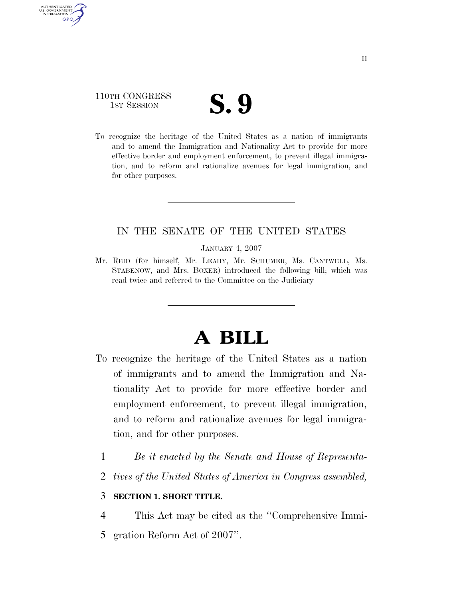## 110TH CONGRESS TH CONGRESS **S. 9**

AUTHENTICATED U.S. GOVERNMENT **GPO** 

> To recognize the heritage of the United States as a nation of immigrants and to amend the Immigration and Nationality Act to provide for more effective border and employment enforcement, to prevent illegal immigration, and to reform and rationalize avenues for legal immigration, and for other purposes.

### IN THE SENATE OF THE UNITED STATES

JANUARY 4, 2007

Mr. REID (for himself, Mr. LEAHY, Mr. SCHUMER, Ms. CANTWELL, Ms. STABENOW, and Mrs. BOXER) introduced the following bill; which was read twice and referred to the Committee on the Judiciary

# **A BILL**

- To recognize the heritage of the United States as a nation of immigrants and to amend the Immigration and Nationality Act to provide for more effective border and employment enforcement, to prevent illegal immigration, and to reform and rationalize avenues for legal immigration, and for other purposes.
	- 1 *Be it enacted by the Senate and House of Representa-*
	- 2 *tives of the United States of America in Congress assembled,*

### 3 **SECTION 1. SHORT TITLE.**

4 This Act may be cited as the ''Comprehensive Immi-

5 gration Reform Act of 2007''.